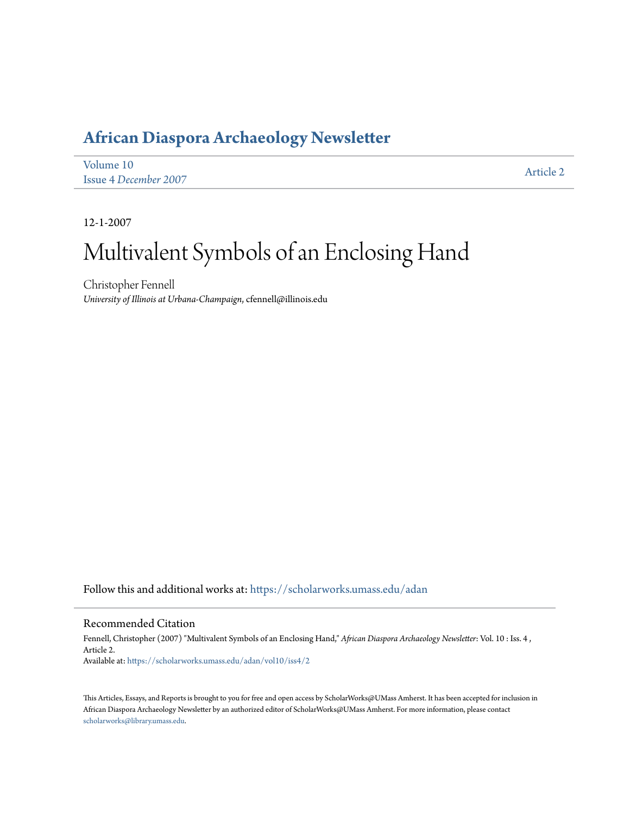# **[African Diaspora Archaeology Newsletter](https://scholarworks.umass.edu/adan?utm_source=scholarworks.umass.edu%2Fadan%2Fvol10%2Fiss4%2F2&utm_medium=PDF&utm_campaign=PDFCoverPages)**

| Volume 10             | <b>Article 2</b> |
|-----------------------|------------------|
| Issue 4 December 2007 |                  |

12-1-2007

# Multivalent Symbols of an Enclosing Hand

Christopher Fennell *University of Illinois at Urbana-Champaign*, cfennell@illinois.edu

Follow this and additional works at: [https://scholarworks.umass.edu/adan](https://scholarworks.umass.edu/adan?utm_source=scholarworks.umass.edu%2Fadan%2Fvol10%2Fiss4%2F2&utm_medium=PDF&utm_campaign=PDFCoverPages)

#### Recommended Citation

Fennell, Christopher (2007) "Multivalent Symbols of an Enclosing Hand," *African Diaspora Archaeology Newsletter*: Vol. 10 : Iss. 4 , Article 2. Available at: [https://scholarworks.umass.edu/adan/vol10/iss4/2](https://scholarworks.umass.edu/adan/vol10/iss4/2?utm_source=scholarworks.umass.edu%2Fadan%2Fvol10%2Fiss4%2F2&utm_medium=PDF&utm_campaign=PDFCoverPages)

This Articles, Essays, and Reports is brought to you for free and open access by ScholarWorks@UMass Amherst. It has been accepted for inclusion in African Diaspora Archaeology Newsletter by an authorized editor of ScholarWorks@UMass Amherst. For more information, please contact [scholarworks@library.umass.edu](mailto:scholarworks@library.umass.edu).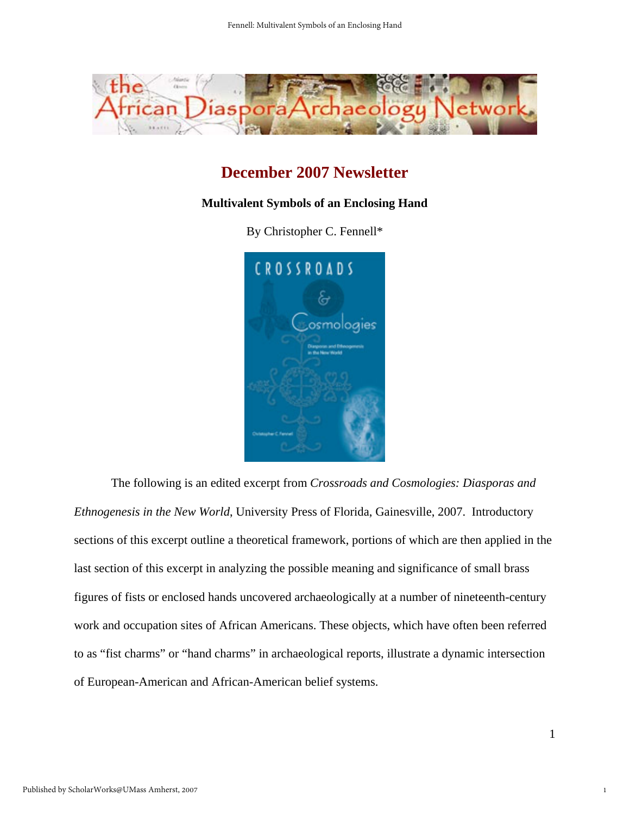

# **December 2007 Newsletter**

# **Multivalent Symbols of an Enclosing Hand**

By Christopher C. Fennell\*



The following is an edited excerpt from *Crossroads and Cosmologies: Diasporas and Ethnogenesis in the New World*, University Press of Florida, Gainesville, 2007. Introductory sections of this excerpt outline a theoretical framework, portions of which are then applied in the last section of this excerpt in analyzing the possible meaning and significance of small brass figures of fists or enclosed hands uncovered archaeologically at a number of nineteenth-century work and occupation sites of African Americans. These objects, which have often been referred to as "fist charms" or "hand charms" in archaeological reports, illustrate a dynamic intersection of European-American and African-American belief systems.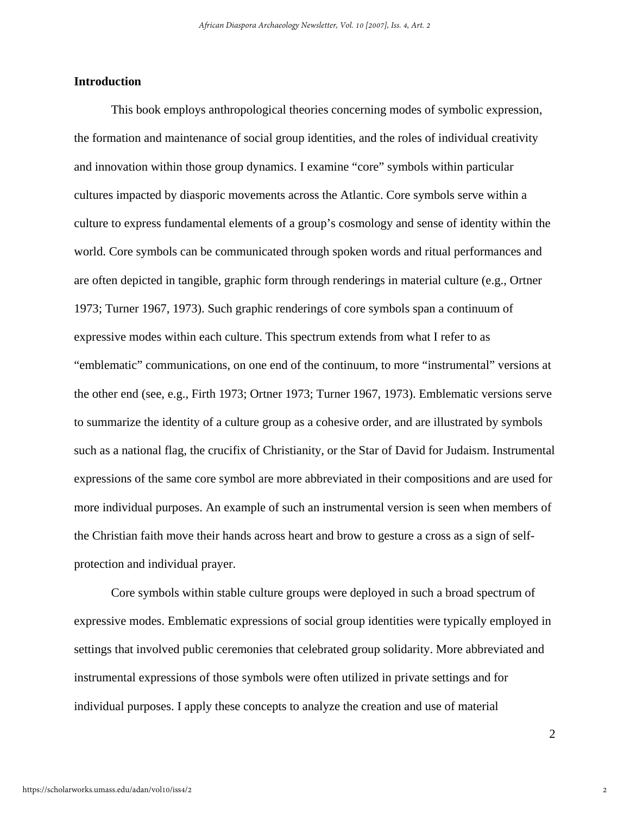### **Introduction**

This book employs anthropological theories concerning modes of symbolic expression, the formation and maintenance of social group identities, and the roles of individual creativity and innovation within those group dynamics. I examine "core" symbols within particular cultures impacted by diasporic movements across the Atlantic. Core symbols serve within a culture to express fundamental elements of a group's cosmology and sense of identity within the world. Core symbols can be communicated through spoken words and ritual performances and are often depicted in tangible, graphic form through renderings in material culture (e.g., Ortner 1973; Turner 1967, 1973). Such graphic renderings of core symbols span a continuum of expressive modes within each culture. This spectrum extends from what I refer to as "emblematic" communications, on one end of the continuum, to more "instrumental" versions at the other end (see, e.g., Firth 1973; Ortner 1973; Turner 1967, 1973). Emblematic versions serve to summarize the identity of a culture group as a cohesive order, and are illustrated by symbols such as a national flag, the crucifix of Christianity, or the Star of David for Judaism. Instrumental expressions of the same core symbol are more abbreviated in their compositions and are used for more individual purposes. An example of such an instrumental version is seen when members of the Christian faith move their hands across heart and brow to gesture a cross as a sign of selfprotection and individual prayer.

 Core symbols within stable culture groups were deployed in such a broad spectrum of expressive modes. Emblematic expressions of social group identities were typically employed in settings that involved public ceremonies that celebrated group solidarity. More abbreviated and instrumental expressions of those symbols were often utilized in private settings and for individual purposes. I apply these concepts to analyze the creation and use of material

 $\mathcal{L}$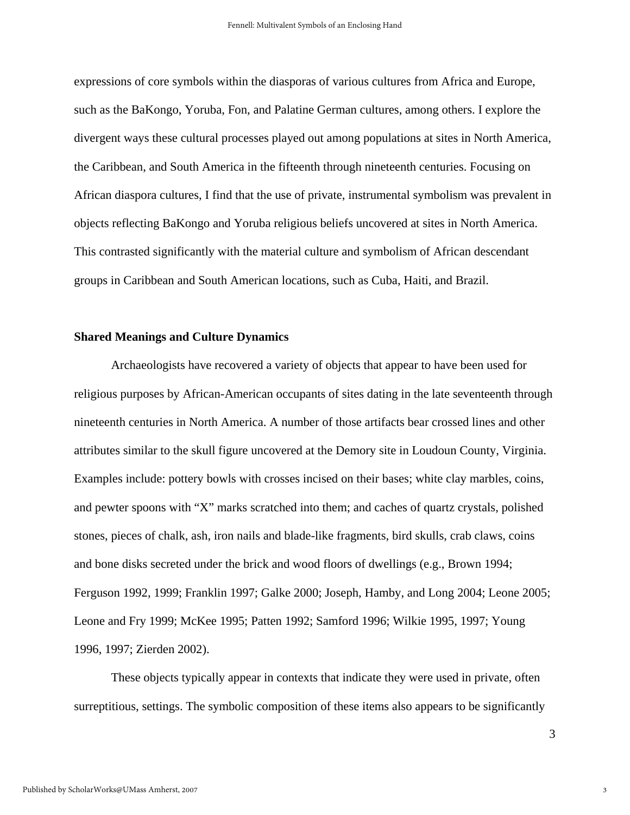expressions of core symbols within the diasporas of various cultures from Africa and Europe, such as the BaKongo, Yoruba, Fon, and Palatine German cultures, among others. I explore the divergent ways these cultural processes played out among populations at sites in North America, the Caribbean, and South America in the fifteenth through nineteenth centuries. Focusing on African diaspora cultures, I find that the use of private, instrumental symbolism was prevalent in objects reflecting BaKongo and Yoruba religious beliefs uncovered at sites in North America. This contrasted significantly with the material culture and symbolism of African descendant groups in Caribbean and South American locations, such as Cuba, Haiti, and Brazil.

#### **Shared Meanings and Culture Dynamics**

 Archaeologists have recovered a variety of objects that appear to have been used for religious purposes by African-American occupants of sites dating in the late seventeenth through nineteenth centuries in North America. A number of those artifacts bear crossed lines and other attributes similar to the skull figure uncovered at the Demory site in Loudoun County, Virginia. Examples include: pottery bowls with crosses incised on their bases; white clay marbles, coins, and pewter spoons with "X" marks scratched into them; and caches of quartz crystals, polished stones, pieces of chalk, ash, iron nails and blade-like fragments, bird skulls, crab claws, coins and bone disks secreted under the brick and wood floors of dwellings (e.g., Brown 1994; Ferguson 1992, 1999; Franklin 1997; Galke 2000; Joseph, Hamby, and Long 2004; Leone 2005; Leone and Fry 1999; McKee 1995; Patten 1992; Samford 1996; Wilkie 1995, 1997; Young 1996, 1997; Zierden 2002).

These objects typically appear in contexts that indicate they were used in private, often surreptitious, settings. The symbolic composition of these items also appears to be significantly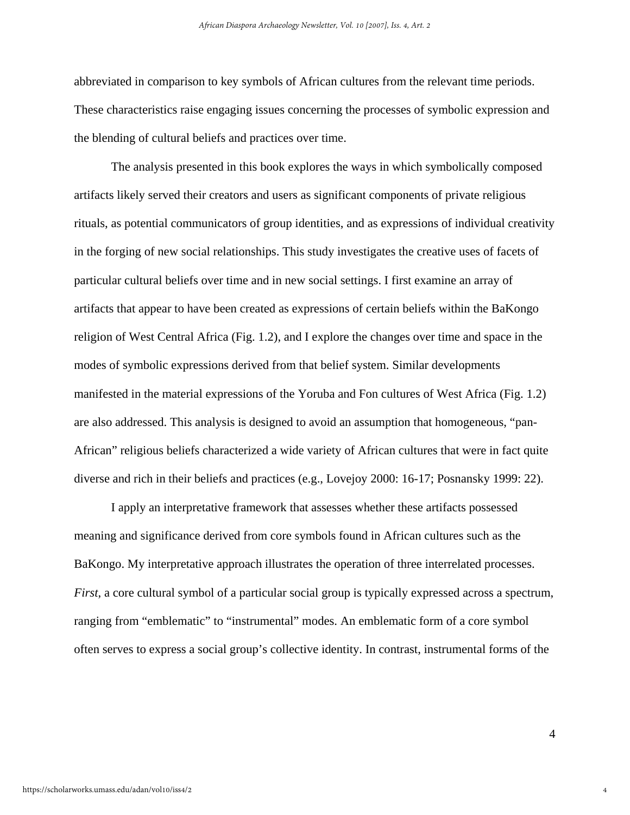abbreviated in comparison to key symbols of African cultures from the relevant time periods. These characteristics raise engaging issues concerning the processes of symbolic expression and the blending of cultural beliefs and practices over time.

 The analysis presented in this book explores the ways in which symbolically composed artifacts likely served their creators and users as significant components of private religious rituals, as potential communicators of group identities, and as expressions of individual creativity in the forging of new social relationships. This study investigates the creative uses of facets of particular cultural beliefs over time and in new social settings. I first examine an array of artifacts that appear to have been created as expressions of certain beliefs within the BaKongo religion of West Central Africa (Fig. 1.2), and I explore the changes over time and space in the modes of symbolic expressions derived from that belief system. Similar developments manifested in the material expressions of the Yoruba and Fon cultures of West Africa (Fig. 1.2) are also addressed. This analysis is designed to avoid an assumption that homogeneous, "pan-African" religious beliefs characterized a wide variety of African cultures that were in fact quite diverse and rich in their beliefs and practices (e.g., Lovejoy 2000: 16-17; Posnansky 1999: 22).

 I apply an interpretative framework that assesses whether these artifacts possessed meaning and significance derived from core symbols found in African cultures such as the BaKongo. My interpretative approach illustrates the operation of three interrelated processes. *First*, a core cultural symbol of a particular social group is typically expressed across a spectrum, ranging from "emblematic" to "instrumental" modes. An emblematic form of a core symbol often serves to express a social group's collective identity. In contrast, instrumental forms of the

4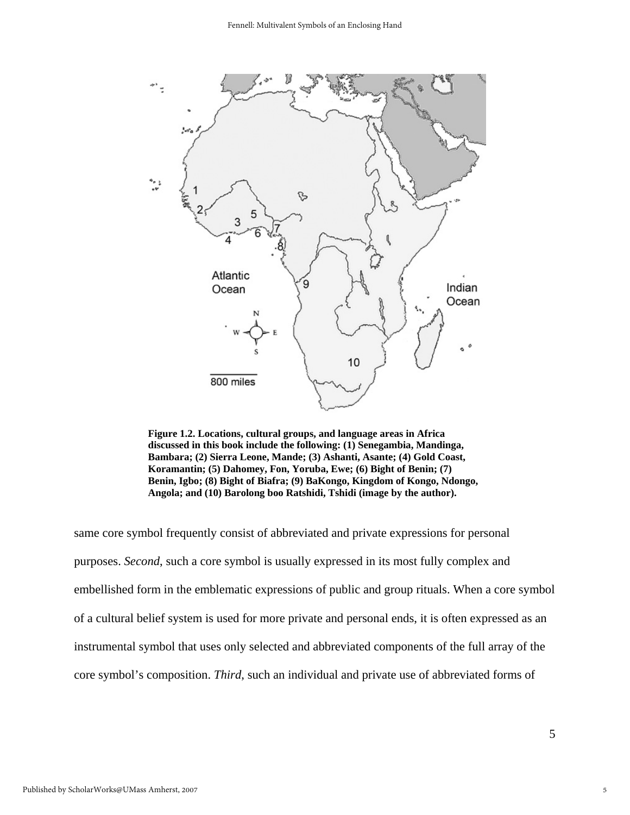

**Figure 1.2. Locations, cultural groups, and language areas in Africa discussed in this book include the following: (1) Senegambia, Mandinga, Bambara; (2) Sierra Leone, Mande; (3) Ashanti, Asante; (4) Gold Coast, Koramantin; (5) Dahomey, Fon, Yoruba, Ewe; (6) Bight of Benin; (7) Benin, Igbo; (8) Bight of Biafra; (9) BaKongo, Kingdom of Kongo, Ndongo, Angola; and (10) Barolong boo Ratshidi, Tshidi (image by the author).** 

same core symbol frequently consist of abbreviated and private expressions for personal purposes. *Second*, such a core symbol is usually expressed in its most fully complex and embellished form in the emblematic expressions of public and group rituals. When a core symbol of a cultural belief system is used for more private and personal ends, it is often expressed as an instrumental symbol that uses only selected and abbreviated components of the full array of the core symbol's composition. *Third*, such an individual and private use of abbreviated forms of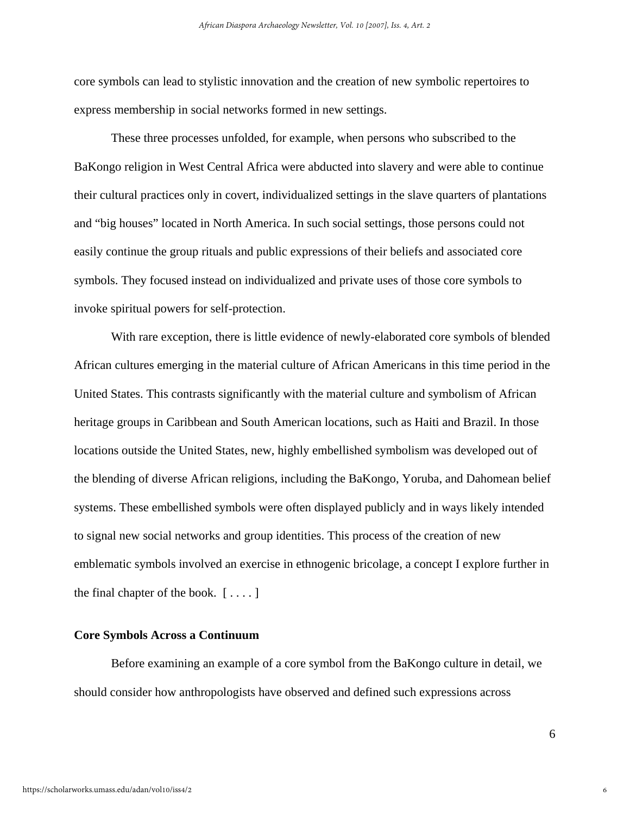core symbols can lead to stylistic innovation and the creation of new symbolic repertoires to express membership in social networks formed in new settings.

 These three processes unfolded, for example, when persons who subscribed to the BaKongo religion in West Central Africa were abducted into slavery and were able to continue their cultural practices only in covert, individualized settings in the slave quarters of plantations and "big houses" located in North America. In such social settings, those persons could not easily continue the group rituals and public expressions of their beliefs and associated core symbols. They focused instead on individualized and private uses of those core symbols to invoke spiritual powers for self-protection.

With rare exception, there is little evidence of newly-elaborated core symbols of blended African cultures emerging in the material culture of African Americans in this time period in the United States. This contrasts significantly with the material culture and symbolism of African heritage groups in Caribbean and South American locations, such as Haiti and Brazil. In those locations outside the United States, new, highly embellished symbolism was developed out of the blending of diverse African religions, including the BaKongo, Yoruba, and Dahomean belief systems. These embellished symbols were often displayed publicly and in ways likely intended to signal new social networks and group identities. This process of the creation of new emblematic symbols involved an exercise in ethnogenic bricolage, a concept I explore further in the final chapter of the book.  $[\ldots]$ 

#### **Core Symbols Across a Continuum**

 Before examining an example of a core symbol from the BaKongo culture in detail, we should consider how anthropologists have observed and defined such expressions across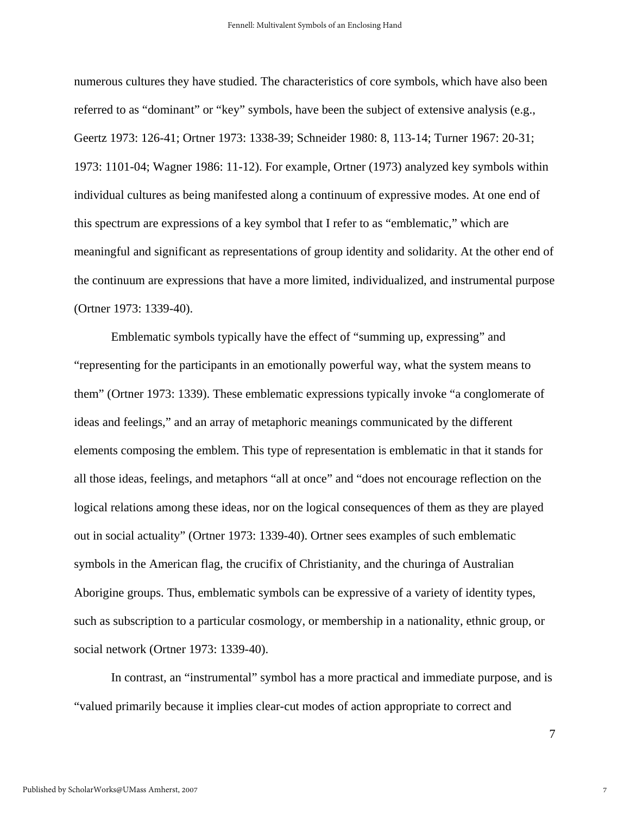numerous cultures they have studied. The characteristics of core symbols, which have also been referred to as "dominant" or "key" symbols, have been the subject of extensive analysis (e.g., Geertz 1973: 126-41; Ortner 1973: 1338-39; Schneider 1980: 8, 113-14; Turner 1967: 20-31; 1973: 1101-04; Wagner 1986: 11-12). For example, Ortner (1973) analyzed key symbols within individual cultures as being manifested along a continuum of expressive modes. At one end of this spectrum are expressions of a key symbol that I refer to as "emblematic," which are meaningful and significant as representations of group identity and solidarity. At the other end of the continuum are expressions that have a more limited, individualized, and instrumental purpose (Ortner 1973: 1339-40).

 Emblematic symbols typically have the effect of "summing up, expressing" and "representing for the participants in an emotionally powerful way, what the system means to them" (Ortner 1973: 1339). These emblematic expressions typically invoke "a conglomerate of ideas and feelings," and an array of metaphoric meanings communicated by the different elements composing the emblem. This type of representation is emblematic in that it stands for all those ideas, feelings, and metaphors "all at once" and "does not encourage reflection on the logical relations among these ideas, nor on the logical consequences of them as they are played out in social actuality" (Ortner 1973: 1339-40). Ortner sees examples of such emblematic symbols in the American flag, the crucifix of Christianity, and the churinga of Australian Aborigine groups. Thus, emblematic symbols can be expressive of a variety of identity types, such as subscription to a particular cosmology, or membership in a nationality, ethnic group, or social network (Ortner 1973: 1339-40).

 In contrast, an "instrumental" symbol has a more practical and immediate purpose, and is "valued primarily because it implies clear-cut modes of action appropriate to correct and

7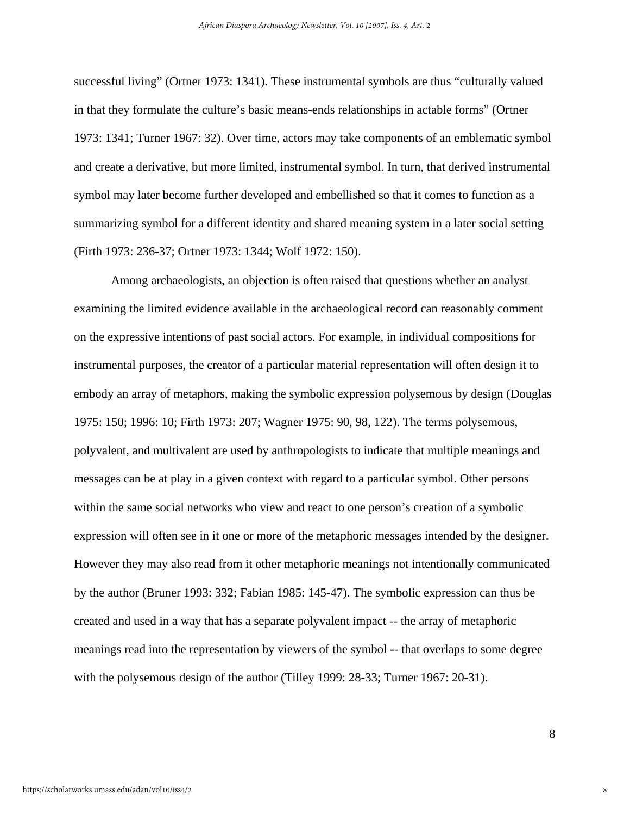successful living" (Ortner 1973: 1341). These instrumental symbols are thus "culturally valued in that they formulate the culture's basic means-ends relationships in actable forms" (Ortner 1973: 1341; Turner 1967: 32). Over time, actors may take components of an emblematic symbol and create a derivative, but more limited, instrumental symbol. In turn, that derived instrumental symbol may later become further developed and embellished so that it comes to function as a summarizing symbol for a different identity and shared meaning system in a later social setting (Firth 1973: 236-37; Ortner 1973: 1344; Wolf 1972: 150).

 Among archaeologists, an objection is often raised that questions whether an analyst examining the limited evidence available in the archaeological record can reasonably comment on the expressive intentions of past social actors. For example, in individual compositions for instrumental purposes, the creator of a particular material representation will often design it to embody an array of metaphors, making the symbolic expression polysemous by design (Douglas 1975: 150; 1996: 10; Firth 1973: 207; Wagner 1975: 90, 98, 122). The terms polysemous, polyvalent, and multivalent are used by anthropologists to indicate that multiple meanings and messages can be at play in a given context with regard to a particular symbol. Other persons within the same social networks who view and react to one person's creation of a symbolic expression will often see in it one or more of the metaphoric messages intended by the designer. However they may also read from it other metaphoric meanings not intentionally communicated by the author (Bruner 1993: 332; Fabian 1985: 145-47). The symbolic expression can thus be created and used in a way that has a separate polyvalent impact -- the array of metaphoric meanings read into the representation by viewers of the symbol -- that overlaps to some degree with the polysemous design of the author (Tilley 1999: 28-33; Turner 1967: 20-31).

8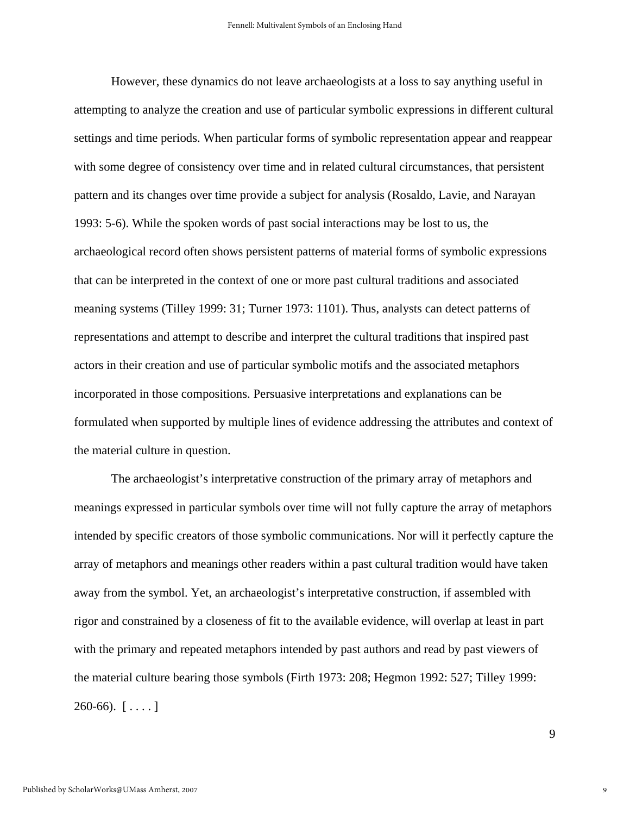However, these dynamics do not leave archaeologists at a loss to say anything useful in attempting to analyze the creation and use of particular symbolic expressions in different cultural settings and time periods. When particular forms of symbolic representation appear and reappear with some degree of consistency over time and in related cultural circumstances, that persistent pattern and its changes over time provide a subject for analysis (Rosaldo, Lavie, and Narayan 1993: 5-6). While the spoken words of past social interactions may be lost to us, the archaeological record often shows persistent patterns of material forms of symbolic expressions that can be interpreted in the context of one or more past cultural traditions and associated meaning systems (Tilley 1999: 31; Turner 1973: 1101). Thus, analysts can detect patterns of representations and attempt to describe and interpret the cultural traditions that inspired past actors in their creation and use of particular symbolic motifs and the associated metaphors incorporated in those compositions. Persuasive interpretations and explanations can be formulated when supported by multiple lines of evidence addressing the attributes and context of the material culture in question.

 The archaeologist's interpretative construction of the primary array of metaphors and meanings expressed in particular symbols over time will not fully capture the array of metaphors intended by specific creators of those symbolic communications. Nor will it perfectly capture the array of metaphors and meanings other readers within a past cultural tradition would have taken away from the symbol. Yet, an archaeologist's interpretative construction, if assembled with rigor and constrained by a closeness of fit to the available evidence, will overlap at least in part with the primary and repeated metaphors intended by past authors and read by past viewers of the material culture bearing those symbols (Firth 1973: 208; Hegmon 1992: 527; Tilley 1999:  $260-66$ ).  $[\ldots]$ 

9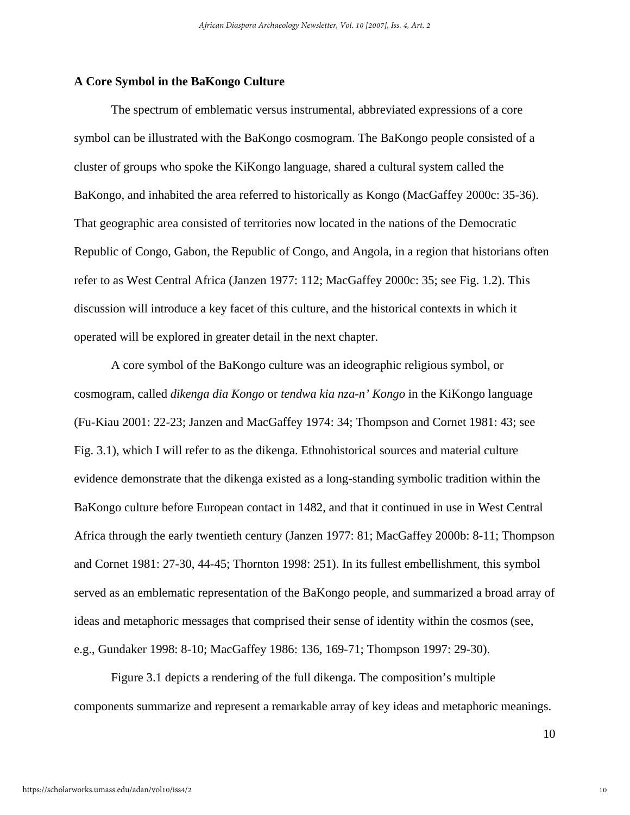#### **A Core Symbol in the BaKongo Culture**

 The spectrum of emblematic versus instrumental, abbreviated expressions of a core symbol can be illustrated with the BaKongo cosmogram. The BaKongo people consisted of a cluster of groups who spoke the KiKongo language, shared a cultural system called the BaKongo, and inhabited the area referred to historically as Kongo (MacGaffey 2000c: 35-36). That geographic area consisted of territories now located in the nations of the Democratic Republic of Congo, Gabon, the Republic of Congo, and Angola, in a region that historians often refer to as West Central Africa (Janzen 1977: 112; MacGaffey 2000c: 35; see Fig. 1.2). This discussion will introduce a key facet of this culture, and the historical contexts in which it operated will be explored in greater detail in the next chapter.

 A core symbol of the BaKongo culture was an ideographic religious symbol, or cosmogram, called *dikenga dia Kongo* or *tendwa kia nza-n' Kongo* in the KiKongo language (Fu-Kiau 2001: 22-23; Janzen and MacGaffey 1974: 34; Thompson and Cornet 1981: 43; see Fig. 3.1), which I will refer to as the dikenga. Ethnohistorical sources and material culture evidence demonstrate that the dikenga existed as a long-standing symbolic tradition within the BaKongo culture before European contact in 1482, and that it continued in use in West Central Africa through the early twentieth century (Janzen 1977: 81; MacGaffey 2000b: 8-11; Thompson and Cornet 1981: 27-30, 44-45; Thornton 1998: 251). In its fullest embellishment, this symbol served as an emblematic representation of the BaKongo people, and summarized a broad array of ideas and metaphoric messages that comprised their sense of identity within the cosmos (see, e.g., Gundaker 1998: 8-10; MacGaffey 1986: 136, 169-71; Thompson 1997: 29-30).

 Figure 3.1 depicts a rendering of the full dikenga. The composition's multiple components summarize and represent a remarkable array of key ideas and metaphoric meanings.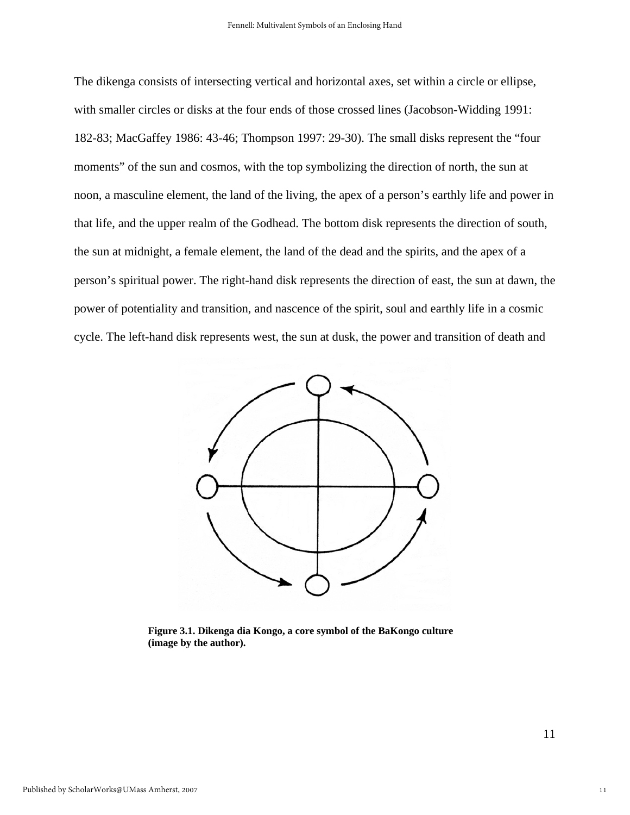The dikenga consists of intersecting vertical and horizontal axes, set within a circle or ellipse, with smaller circles or disks at the four ends of those crossed lines (Jacobson-Widding 1991: 182-83; MacGaffey 1986: 43-46; Thompson 1997: 29-30). The small disks represent the "four moments" of the sun and cosmos, with the top symbolizing the direction of north, the sun at noon, a masculine element, the land of the living, the apex of a person's earthly life and power in that life, and the upper realm of the Godhead. The bottom disk represents the direction of south, the sun at midnight, a female element, the land of the dead and the spirits, and the apex of a person's spiritual power. The right-hand disk represents the direction of east, the sun at dawn, the power of potentiality and transition, and nascence of the spirit, soul and earthly life in a cosmic cycle. The left-hand disk represents west, the sun at dusk, the power and transition of death and



**Figure 3.1. Dikenga dia Kongo, a core symbol of the BaKongo culture (image by the author).**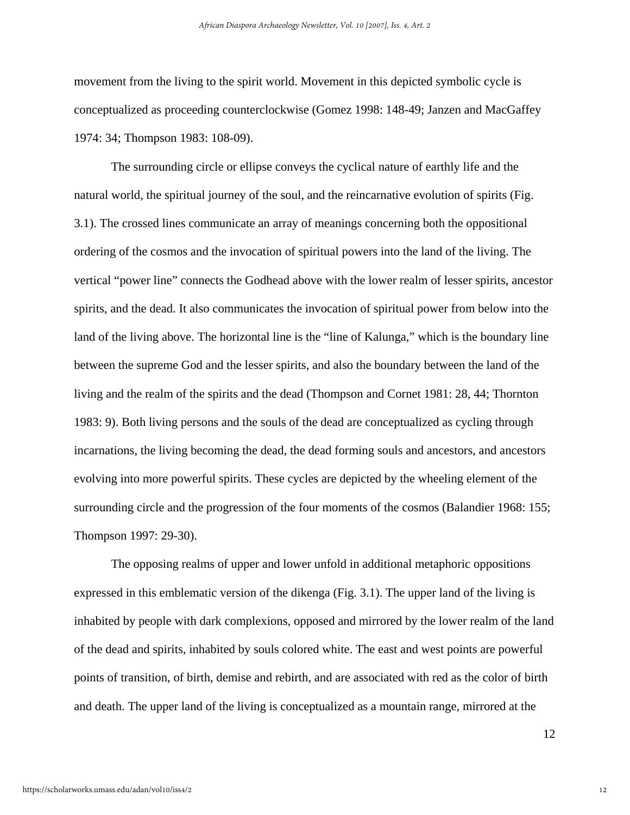movement from the living to the spirit world. Movement in this depicted symbolic cycle is conceptualized as proceeding counterclockwise (Gomez 1998: 148-49; Janzen and MacGaffey 1974: 34; Thompson 1983: 108-09).

 The surrounding circle or ellipse conveys the cyclical nature of earthly life and the natural world, the spiritual journey of the soul, and the reincarnative evolution of spirits (Fig. 3.1). The crossed lines communicate an array of meanings concerning both the oppositional ordering of the cosmos and the invocation of spiritual powers into the land of the living. The vertical "power line" connects the Godhead above with the lower realm of lesser spirits, ancestor spirits, and the dead. It also communicates the invocation of spiritual power from below into the land of the living above. The horizontal line is the "line of Kalunga," which is the boundary line between the supreme God and the lesser spirits, and also the boundary between the land of the living and the realm of the spirits and the dead (Thompson and Cornet 1981: 28, 44; Thornton 1983: 9). Both living persons and the souls of the dead are conceptualized as cycling through incarnations, the living becoming the dead, the dead forming souls and ancestors, and ancestors evolving into more powerful spirits. These cycles are depicted by the wheeling element of the surrounding circle and the progression of the four moments of the cosmos (Balandier 1968: 155; Thompson 1997: 29-30).

 The opposing realms of upper and lower unfold in additional metaphoric oppositions expressed in this emblematic version of the dikenga (Fig. 3.1). The upper land of the living is inhabited by people with dark complexions, opposed and mirrored by the lower realm of the land of the dead and spirits, inhabited by souls colored white. The east and west points are powerful points of transition, of birth, demise and rebirth, and are associated with red as the color of birth and death. The upper land of the living is conceptualized as a mountain range, mirrored at the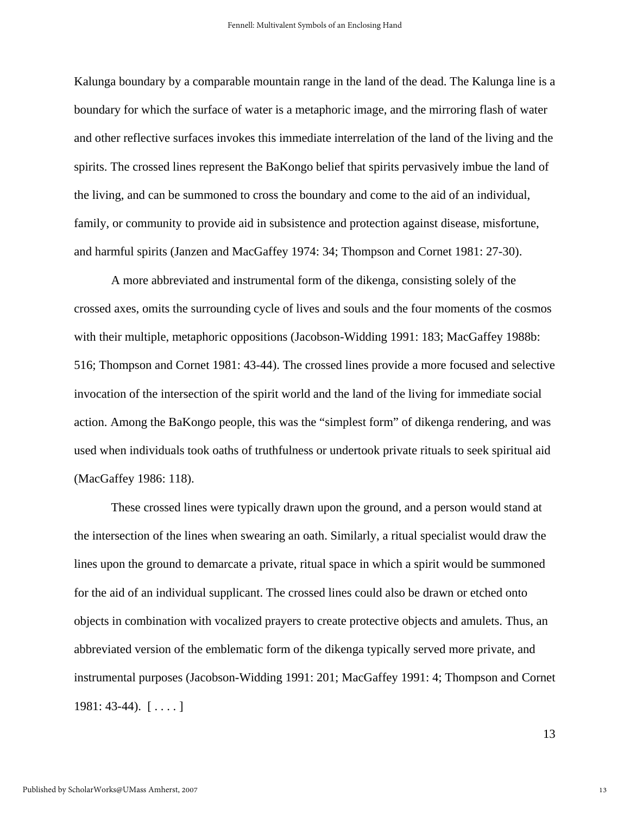Kalunga boundary by a comparable mountain range in the land of the dead. The Kalunga line is a boundary for which the surface of water is a metaphoric image, and the mirroring flash of water and other reflective surfaces invokes this immediate interrelation of the land of the living and the spirits. The crossed lines represent the BaKongo belief that spirits pervasively imbue the land of the living, and can be summoned to cross the boundary and come to the aid of an individual, family, or community to provide aid in subsistence and protection against disease, misfortune, and harmful spirits (Janzen and MacGaffey 1974: 34; Thompson and Cornet 1981: 27-30).

 A more abbreviated and instrumental form of the dikenga, consisting solely of the crossed axes, omits the surrounding cycle of lives and souls and the four moments of the cosmos with their multiple, metaphoric oppositions (Jacobson-Widding 1991: 183; MacGaffey 1988b: 516; Thompson and Cornet 1981: 43-44). The crossed lines provide a more focused and selective invocation of the intersection of the spirit world and the land of the living for immediate social action. Among the BaKongo people, this was the "simplest form" of dikenga rendering, and was used when individuals took oaths of truthfulness or undertook private rituals to seek spiritual aid (MacGaffey 1986: 118).

 These crossed lines were typically drawn upon the ground, and a person would stand at the intersection of the lines when swearing an oath. Similarly, a ritual specialist would draw the lines upon the ground to demarcate a private, ritual space in which a spirit would be summoned for the aid of an individual supplicant. The crossed lines could also be drawn or etched onto objects in combination with vocalized prayers to create protective objects and amulets. Thus, an abbreviated version of the emblematic form of the dikenga typically served more private, and instrumental purposes (Jacobson-Widding 1991: 201; MacGaffey 1991: 4; Thompson and Cornet  $1981: 43-44$ .  $[\ldots]$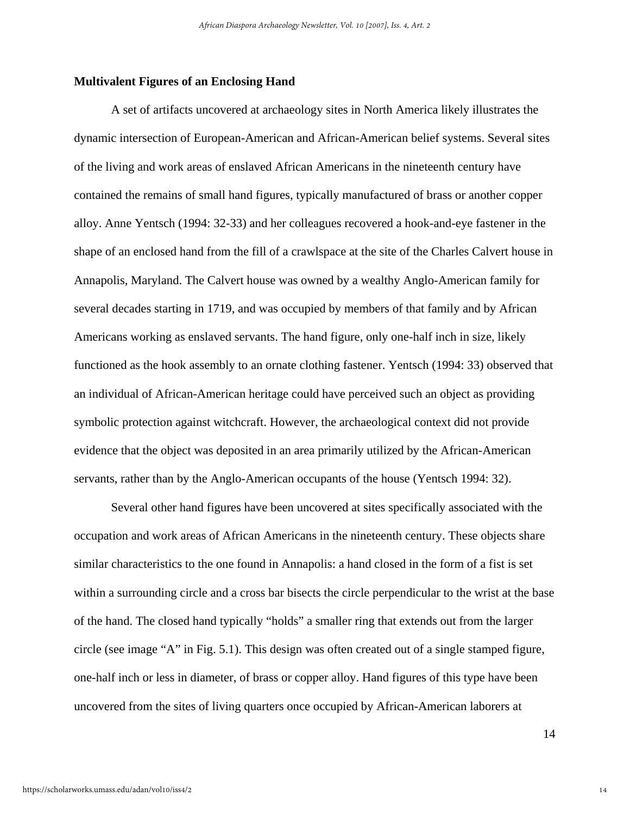#### **Multivalent Figures of an Enclosing Hand**

 A set of artifacts uncovered at archaeology sites in North America likely illustrates the dynamic intersection of European-American and African-American belief systems. Several sites of the living and work areas of enslaved African Americans in the nineteenth century have contained the remains of small hand figures, typically manufactured of brass or another copper alloy. Anne Yentsch (1994: 32-33) and her colleagues recovered a hook-and-eye fastener in the shape of an enclosed hand from the fill of a crawlspace at the site of the Charles Calvert house in Annapolis, Maryland. The Calvert house was owned by a wealthy Anglo-American family for several decades starting in 1719, and was occupied by members of that family and by African Americans working as enslaved servants. The hand figure, only one-half inch in size, likely functioned as the hook assembly to an ornate clothing fastener. Yentsch (1994: 33) observed that an individual of African-American heritage could have perceived such an object as providing symbolic protection against witchcraft. However, the archaeological context did not provide evidence that the object was deposited in an area primarily utilized by the African-American servants, rather than by the Anglo-American occupants of the house (Yentsch 1994: 32).

 Several other hand figures have been uncovered at sites specifically associated with the occupation and work areas of African Americans in the nineteenth century. These objects share similar characteristics to the one found in Annapolis: a hand closed in the form of a fist is set within a surrounding circle and a cross bar bisects the circle perpendicular to the wrist at the base of the hand. The closed hand typically "holds" a smaller ring that extends out from the larger circle (see image "A" in Fig. 5.1). This design was often created out of a single stamped figure, one-half inch or less in diameter, of brass or copper alloy. Hand figures of this type have been uncovered from the sites of living quarters once occupied by African-American laborers at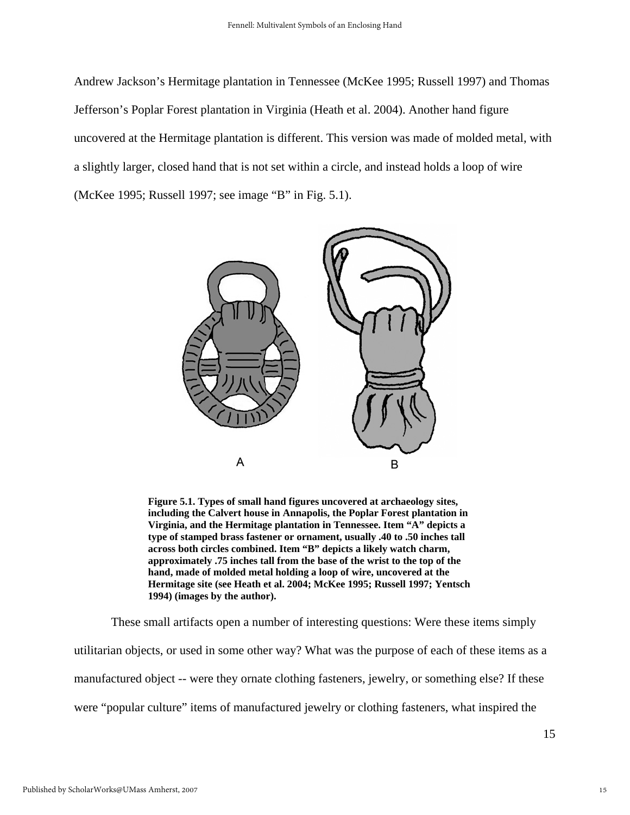Andrew Jackson's Hermitage plantation in Tennessee (McKee 1995; Russell 1997) and Thomas Jefferson's Poplar Forest plantation in Virginia (Heath et al. 2004). Another hand figure uncovered at the Hermitage plantation is different. This version was made of molded metal, with a slightly larger, closed hand that is not set within a circle, and instead holds a loop of wire (McKee 1995; Russell 1997; see image "B" in Fig. 5.1).



**Figure 5.1. Types of small hand figures uncovered at archaeology sites, including the Calvert house in Annapolis, the Poplar Forest plantation in Virginia, and the Hermitage plantation in Tennessee. Item "A" depicts a type of stamped brass fastener or ornament, usually .40 to .50 inches tall across both circles combined. Item "B" depicts a likely watch charm, approximately .75 inches tall from the base of the wrist to the top of the hand, made of molded metal holding a loop of wire, uncovered at the Hermitage site (see Heath et al. 2004; McKee 1995; Russell 1997; Yentsch 1994) (images by the author).** 

 These small artifacts open a number of interesting questions: Were these items simply utilitarian objects, or used in some other way? What was the purpose of each of these items as a manufactured object -- were they ornate clothing fasteners, jewelry, or something else? If these were "popular culture" items of manufactured jewelry or clothing fasteners, what inspired the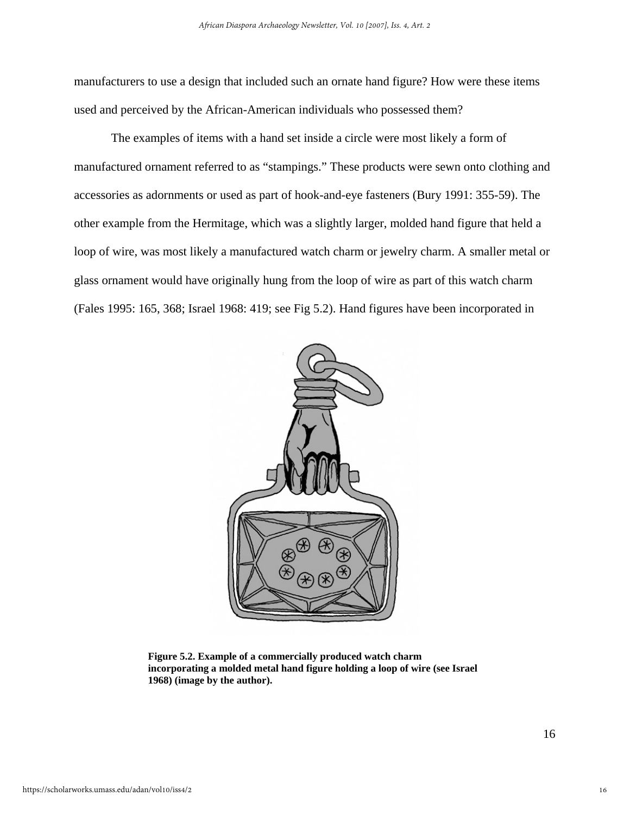manufacturers to use a design that included such an ornate hand figure? How were these items used and perceived by the African-American individuals who possessed them?

 The examples of items with a hand set inside a circle were most likely a form of manufactured ornament referred to as "stampings." These products were sewn onto clothing and accessories as adornments or used as part of hook-and-eye fasteners (Bury 1991: 355-59). The other example from the Hermitage, which was a slightly larger, molded hand figure that held a loop of wire, was most likely a manufactured watch charm or jewelry charm. A smaller metal or glass ornament would have originally hung from the loop of wire as part of this watch charm (Fales 1995: 165, 368; Israel 1968: 419; see Fig 5.2). Hand figures have been incorporated in



**Figure 5.2. Example of a commercially produced watch charm incorporating a molded metal hand figure holding a loop of wire (see Israel 1968) (image by the author).**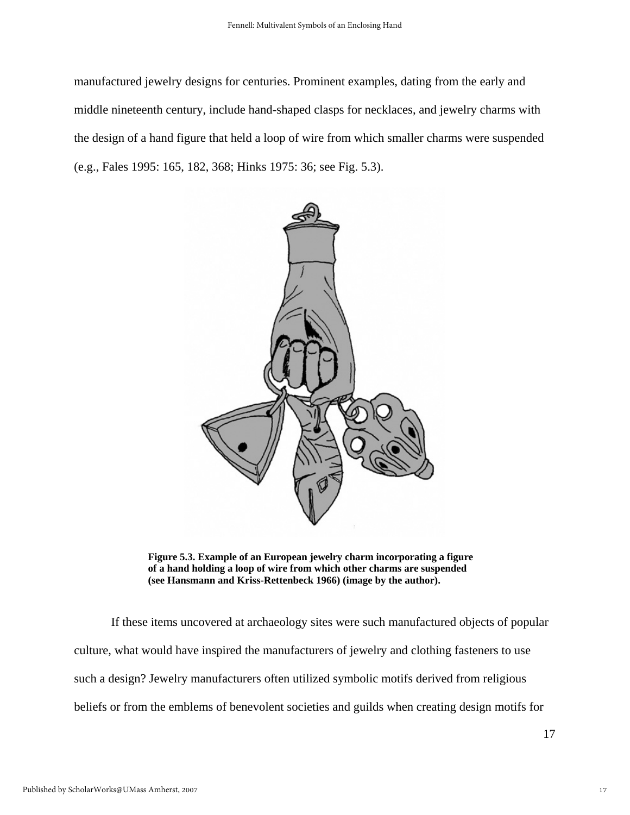manufactured jewelry designs for centuries. Prominent examples, dating from the early and middle nineteenth century, include hand-shaped clasps for necklaces, and jewelry charms with the design of a hand figure that held a loop of wire from which smaller charms were suspended (e.g., Fales 1995: 165, 182, 368; Hinks 1975: 36; see Fig. 5.3).



**Figure 5.3. Example of an European jewelry charm incorporating a figure of a hand holding a loop of wire from which other charms are suspended (see Hansmann and Kriss-Rettenbeck 1966) (image by the author).** 

 If these items uncovered at archaeology sites were such manufactured objects of popular culture, what would have inspired the manufacturers of jewelry and clothing fasteners to use such a design? Jewelry manufacturers often utilized symbolic motifs derived from religious beliefs or from the emblems of benevolent societies and guilds when creating design motifs for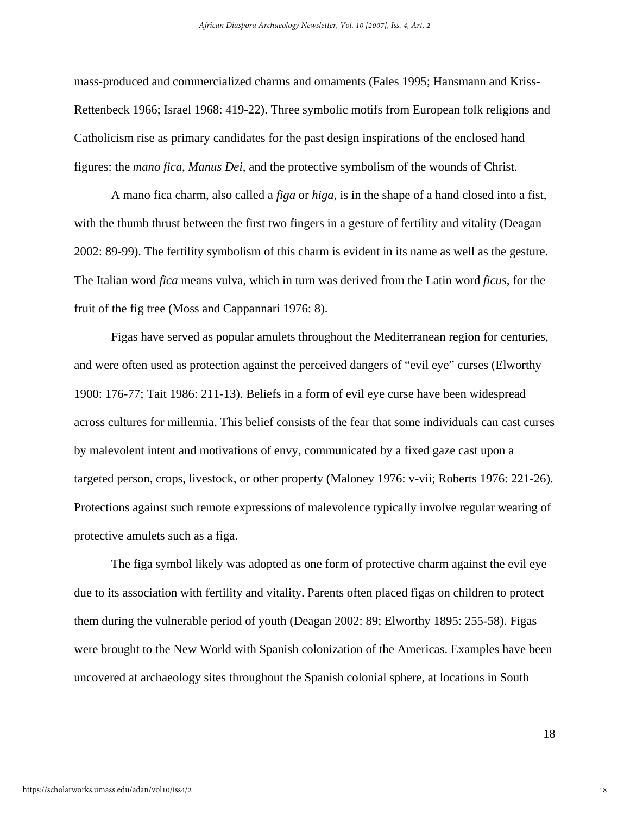mass-produced and commercialized charms and ornaments (Fales 1995; Hansmann and Kriss-Rettenbeck 1966; Israel 1968: 419-22). Three symbolic motifs from European folk religions and Catholicism rise as primary candidates for the past design inspirations of the enclosed hand figures: the *mano fica*, *Manus Dei*, and the protective symbolism of the wounds of Christ.

 A mano fica charm, also called a *figa* or *higa*, is in the shape of a hand closed into a fist, with the thumb thrust between the first two fingers in a gesture of fertility and vitality (Deagan 2002: 89-99). The fertility symbolism of this charm is evident in its name as well as the gesture. The Italian word *fica* means vulva, which in turn was derived from the Latin word *ficus*, for the fruit of the fig tree (Moss and Cappannari 1976: 8).

 Figas have served as popular amulets throughout the Mediterranean region for centuries, and were often used as protection against the perceived dangers of "evil eye" curses (Elworthy 1900: 176-77; Tait 1986: 211-13). Beliefs in a form of evil eye curse have been widespread across cultures for millennia. This belief consists of the fear that some individuals can cast curses by malevolent intent and motivations of envy, communicated by a fixed gaze cast upon a targeted person, crops, livestock, or other property (Maloney 1976: v-vii; Roberts 1976: 221-26). Protections against such remote expressions of malevolence typically involve regular wearing of protective amulets such as a figa.

 The figa symbol likely was adopted as one form of protective charm against the evil eye due to its association with fertility and vitality. Parents often placed figas on children to protect them during the vulnerable period of youth (Deagan 2002: 89; Elworthy 1895: 255-58). Figas were brought to the New World with Spanish colonization of the Americas. Examples have been uncovered at archaeology sites throughout the Spanish colonial sphere, at locations in South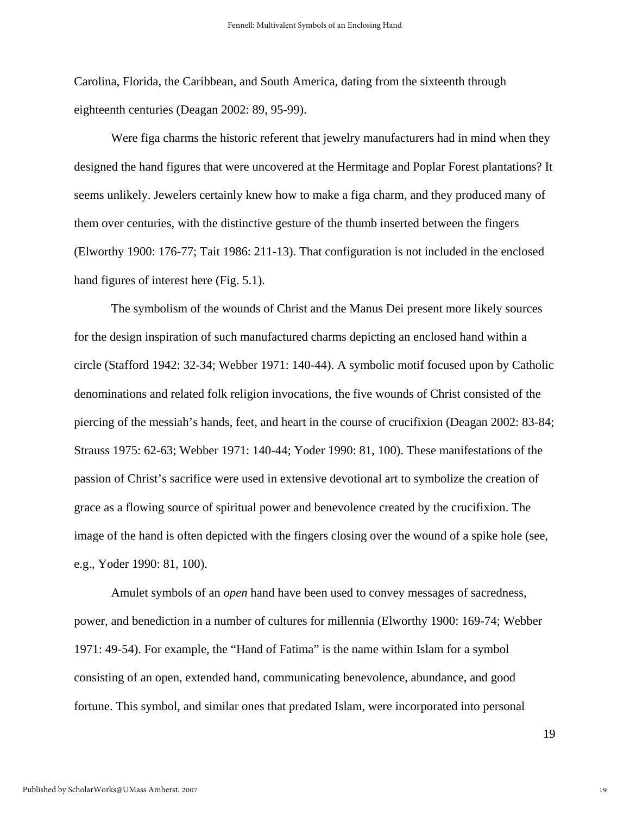Carolina, Florida, the Caribbean, and South America, dating from the sixteenth through eighteenth centuries (Deagan 2002: 89, 95-99).

 Were figa charms the historic referent that jewelry manufacturers had in mind when they designed the hand figures that were uncovered at the Hermitage and Poplar Forest plantations? It seems unlikely. Jewelers certainly knew how to make a figa charm, and they produced many of them over centuries, with the distinctive gesture of the thumb inserted between the fingers (Elworthy 1900: 176-77; Tait 1986: 211-13). That configuration is not included in the enclosed hand figures of interest here (Fig. 5.1).

 The symbolism of the wounds of Christ and the Manus Dei present more likely sources for the design inspiration of such manufactured charms depicting an enclosed hand within a circle (Stafford 1942: 32-34; Webber 1971: 140-44). A symbolic motif focused upon by Catholic denominations and related folk religion invocations, the five wounds of Christ consisted of the piercing of the messiah's hands, feet, and heart in the course of crucifixion (Deagan 2002: 83-84; Strauss 1975: 62-63; Webber 1971: 140-44; Yoder 1990: 81, 100). These manifestations of the passion of Christ's sacrifice were used in extensive devotional art to symbolize the creation of grace as a flowing source of spiritual power and benevolence created by the crucifixion. The image of the hand is often depicted with the fingers closing over the wound of a spike hole (see, e.g., Yoder 1990: 81, 100).

 Amulet symbols of an *open* hand have been used to convey messages of sacredness, power, and benediction in a number of cultures for millennia (Elworthy 1900: 169-74; Webber 1971: 49-54). For example, the "Hand of Fatima" is the name within Islam for a symbol consisting of an open, extended hand, communicating benevolence, abundance, and good fortune. This symbol, and similar ones that predated Islam, were incorporated into personal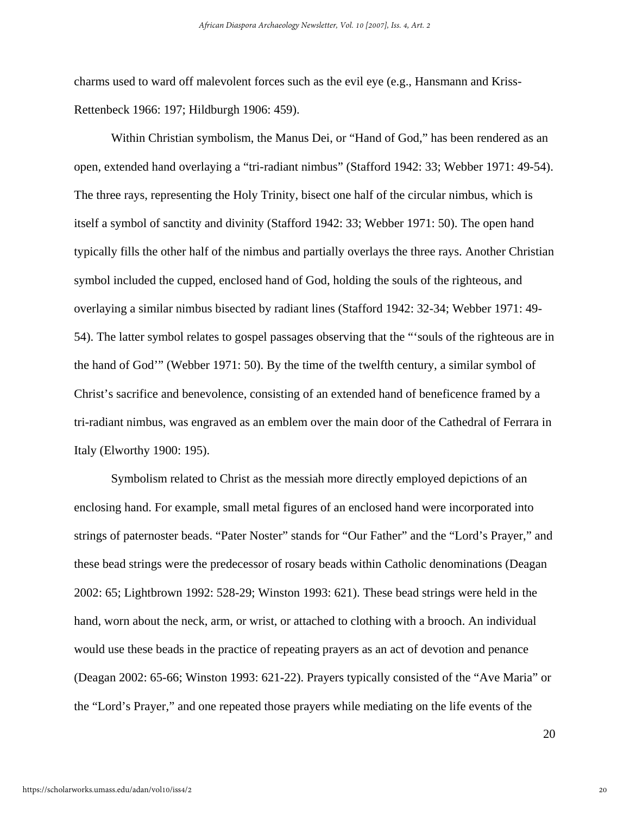charms used to ward off malevolent forces such as the evil eye (e.g., Hansmann and Kriss-Rettenbeck 1966: 197; Hildburgh 1906: 459).

 Within Christian symbolism, the Manus Dei, or "Hand of God," has been rendered as an open, extended hand overlaying a "tri-radiant nimbus" (Stafford 1942: 33; Webber 1971: 49-54). The three rays, representing the Holy Trinity, bisect one half of the circular nimbus, which is itself a symbol of sanctity and divinity (Stafford 1942: 33; Webber 1971: 50). The open hand typically fills the other half of the nimbus and partially overlays the three rays. Another Christian symbol included the cupped, enclosed hand of God, holding the souls of the righteous, and overlaying a similar nimbus bisected by radiant lines (Stafford 1942: 32-34; Webber 1971: 49- 54). The latter symbol relates to gospel passages observing that the "'souls of the righteous are in the hand of God'" (Webber 1971: 50). By the time of the twelfth century, a similar symbol of Christ's sacrifice and benevolence, consisting of an extended hand of beneficence framed by a tri-radiant nimbus, was engraved as an emblem over the main door of the Cathedral of Ferrara in Italy (Elworthy 1900: 195).

 Symbolism related to Christ as the messiah more directly employed depictions of an enclosing hand. For example, small metal figures of an enclosed hand were incorporated into strings of paternoster beads. "Pater Noster" stands for "Our Father" and the "Lord's Prayer," and these bead strings were the predecessor of rosary beads within Catholic denominations (Deagan 2002: 65; Lightbrown 1992: 528-29; Winston 1993: 621). These bead strings were held in the hand, worn about the neck, arm, or wrist, or attached to clothing with a brooch. An individual would use these beads in the practice of repeating prayers as an act of devotion and penance (Deagan 2002: 65-66; Winston 1993: 621-22). Prayers typically consisted of the "Ave Maria" or the "Lord's Prayer," and one repeated those prayers while mediating on the life events of the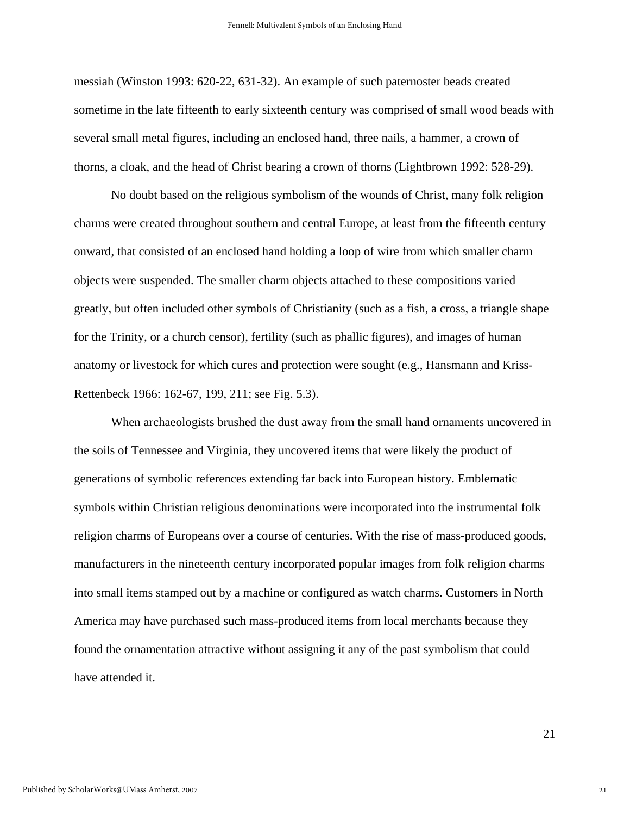messiah (Winston 1993: 620-22, 631-32). An example of such paternoster beads created sometime in the late fifteenth to early sixteenth century was comprised of small wood beads with several small metal figures, including an enclosed hand, three nails, a hammer, a crown of thorns, a cloak, and the head of Christ bearing a crown of thorns (Lightbrown 1992: 528-29).

 No doubt based on the religious symbolism of the wounds of Christ, many folk religion charms were created throughout southern and central Europe, at least from the fifteenth century onward, that consisted of an enclosed hand holding a loop of wire from which smaller charm objects were suspended. The smaller charm objects attached to these compositions varied greatly, but often included other symbols of Christianity (such as a fish, a cross, a triangle shape for the Trinity, or a church censor), fertility (such as phallic figures), and images of human anatomy or livestock for which cures and protection were sought (e.g., Hansmann and Kriss-Rettenbeck 1966: 162-67, 199, 211; see Fig. 5.3).

 When archaeologists brushed the dust away from the small hand ornaments uncovered in the soils of Tennessee and Virginia, they uncovered items that were likely the product of generations of symbolic references extending far back into European history. Emblematic symbols within Christian religious denominations were incorporated into the instrumental folk religion charms of Europeans over a course of centuries. With the rise of mass-produced goods, manufacturers in the nineteenth century incorporated popular images from folk religion charms into small items stamped out by a machine or configured as watch charms. Customers in North America may have purchased such mass-produced items from local merchants because they found the ornamentation attractive without assigning it any of the past symbolism that could have attended it.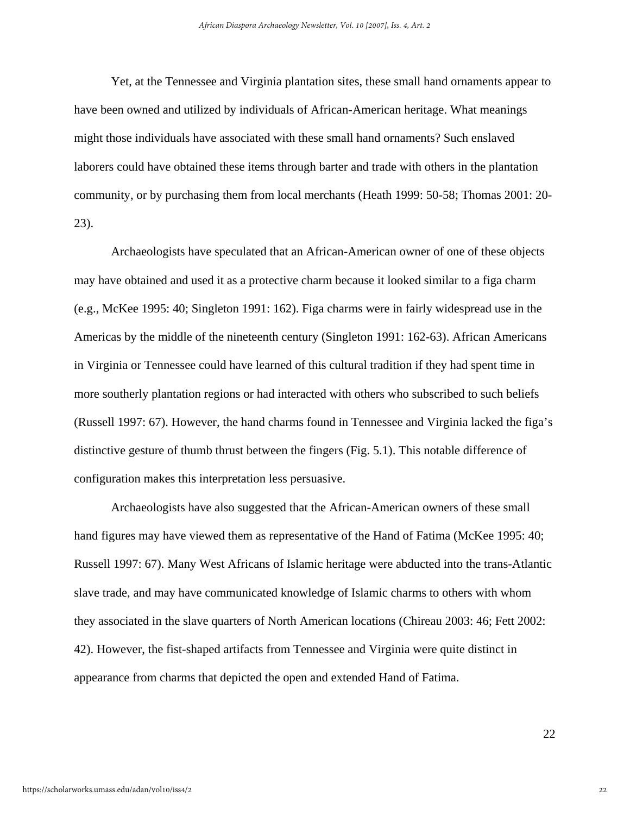Yet, at the Tennessee and Virginia plantation sites, these small hand ornaments appear to have been owned and utilized by individuals of African-American heritage. What meanings might those individuals have associated with these small hand ornaments? Such enslaved laborers could have obtained these items through barter and trade with others in the plantation community, or by purchasing them from local merchants (Heath 1999: 50-58; Thomas 2001: 20- 23).

 Archaeologists have speculated that an African-American owner of one of these objects may have obtained and used it as a protective charm because it looked similar to a figa charm (e.g., McKee 1995: 40; Singleton 1991: 162). Figa charms were in fairly widespread use in the Americas by the middle of the nineteenth century (Singleton 1991: 162-63). African Americans in Virginia or Tennessee could have learned of this cultural tradition if they had spent time in more southerly plantation regions or had interacted with others who subscribed to such beliefs (Russell 1997: 67). However, the hand charms found in Tennessee and Virginia lacked the figa's distinctive gesture of thumb thrust between the fingers (Fig. 5.1). This notable difference of configuration makes this interpretation less persuasive.

 Archaeologists have also suggested that the African-American owners of these small hand figures may have viewed them as representative of the Hand of Fatima (McKee 1995: 40; Russell 1997: 67). Many West Africans of Islamic heritage were abducted into the trans-Atlantic slave trade, and may have communicated knowledge of Islamic charms to others with whom they associated in the slave quarters of North American locations (Chireau 2003: 46; Fett 2002: 42). However, the fist-shaped artifacts from Tennessee and Virginia were quite distinct in appearance from charms that depicted the open and extended Hand of Fatima.

https://scholarworks.umass.edu/adan/vol10/iss4/2

22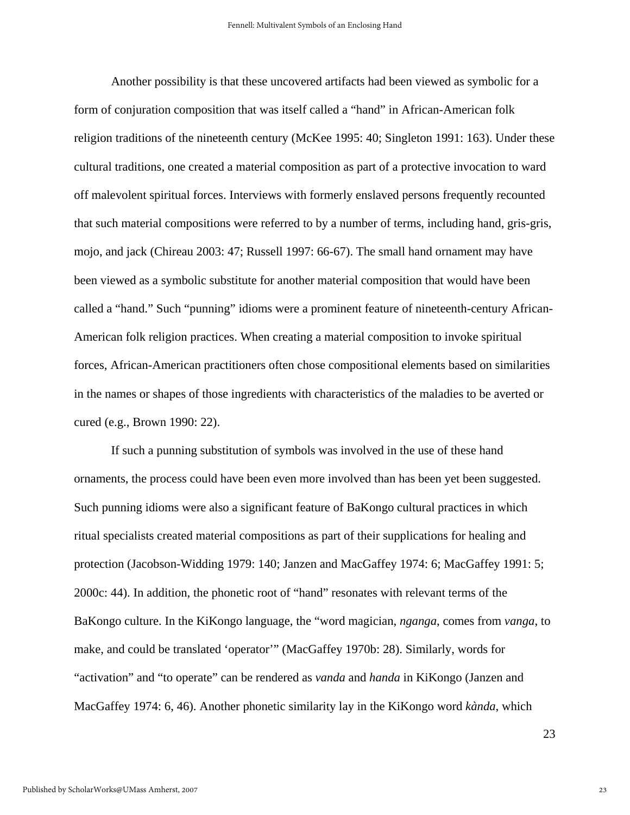Another possibility is that these uncovered artifacts had been viewed as symbolic for a form of conjuration composition that was itself called a "hand" in African-American folk religion traditions of the nineteenth century (McKee 1995: 40; Singleton 1991: 163). Under these cultural traditions, one created a material composition as part of a protective invocation to ward off malevolent spiritual forces. Interviews with formerly enslaved persons frequently recounted that such material compositions were referred to by a number of terms, including hand, gris-gris, mojo, and jack (Chireau 2003: 47; Russell 1997: 66-67). The small hand ornament may have been viewed as a symbolic substitute for another material composition that would have been called a "hand." Such "punning" idioms were a prominent feature of nineteenth-century African-American folk religion practices. When creating a material composition to invoke spiritual forces, African-American practitioners often chose compositional elements based on similarities in the names or shapes of those ingredients with characteristics of the maladies to be averted or cured (e.g., Brown 1990: 22).

 If such a punning substitution of symbols was involved in the use of these hand ornaments, the process could have been even more involved than has been yet been suggested. Such punning idioms were also a significant feature of BaKongo cultural practices in which ritual specialists created material compositions as part of their supplications for healing and protection (Jacobson-Widding 1979: 140; Janzen and MacGaffey 1974: 6; MacGaffey 1991: 5; 2000c: 44). In addition, the phonetic root of "hand" resonates with relevant terms of the BaKongo culture. In the KiKongo language, the "word magician, *nganga*, comes from *vanga*, to make, and could be translated 'operator'" (MacGaffey 1970b: 28). Similarly, words for "activation" and "to operate" can be rendered as *vanda* and *handa* in KiKongo (Janzen and MacGaffey 1974: 6, 46). Another phonetic similarity lay in the KiKongo word *kànda*, which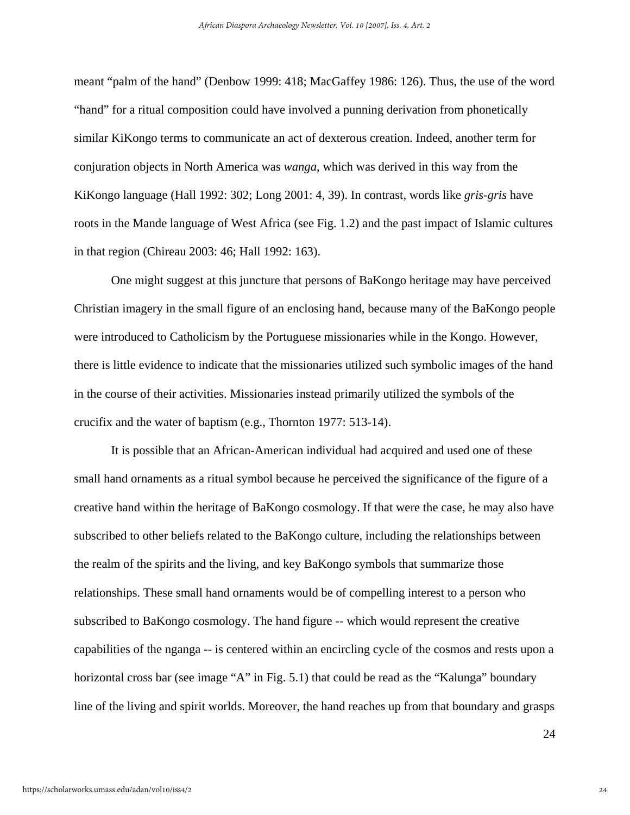meant "palm of the hand" (Denbow 1999: 418; MacGaffey 1986: 126). Thus, the use of the word "hand" for a ritual composition could have involved a punning derivation from phonetically similar KiKongo terms to communicate an act of dexterous creation. Indeed, another term for conjuration objects in North America was *wanga*, which was derived in this way from the KiKongo language (Hall 1992: 302; Long 2001: 4, 39). In contrast, words like *gris-gris* have roots in the Mande language of West Africa (see Fig. 1.2) and the past impact of Islamic cultures in that region (Chireau 2003: 46; Hall 1992: 163).

 One might suggest at this juncture that persons of BaKongo heritage may have perceived Christian imagery in the small figure of an enclosing hand, because many of the BaKongo people were introduced to Catholicism by the Portuguese missionaries while in the Kongo. However, there is little evidence to indicate that the missionaries utilized such symbolic images of the hand in the course of their activities. Missionaries instead primarily utilized the symbols of the crucifix and the water of baptism (e.g., Thornton 1977: 513-14).

 It is possible that an African-American individual had acquired and used one of these small hand ornaments as a ritual symbol because he perceived the significance of the figure of a creative hand within the heritage of BaKongo cosmology. If that were the case, he may also have subscribed to other beliefs related to the BaKongo culture, including the relationships between the realm of the spirits and the living, and key BaKongo symbols that summarize those relationships. These small hand ornaments would be of compelling interest to a person who subscribed to BaKongo cosmology. The hand figure -- which would represent the creative capabilities of the nganga -- is centered within an encircling cycle of the cosmos and rests upon a horizontal cross bar (see image "A" in Fig. 5.1) that could be read as the "Kalunga" boundary line of the living and spirit worlds. Moreover, the hand reaches up from that boundary and grasps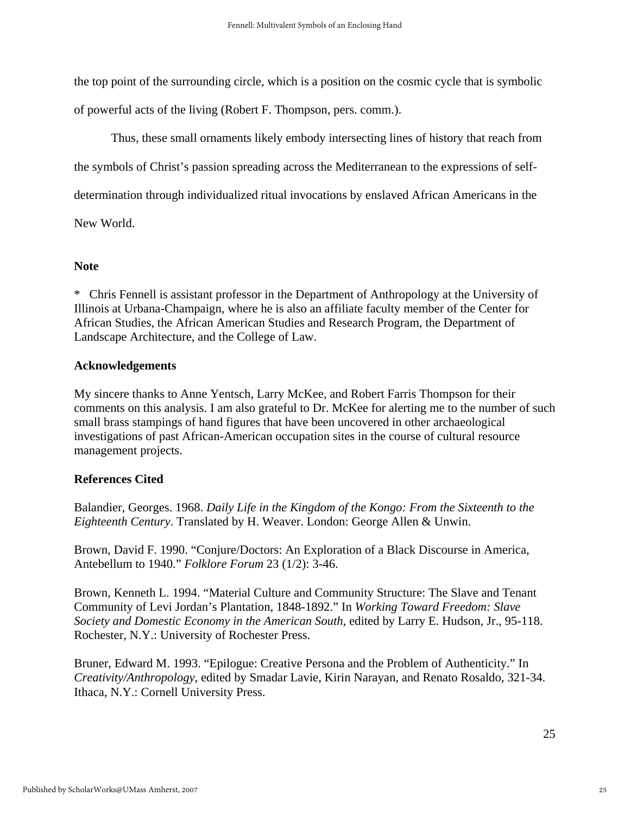the top point of the surrounding circle, which is a position on the cosmic cycle that is symbolic

of powerful acts of the living (Robert F. Thompson, pers. comm.).

Thus, these small ornaments likely embody intersecting lines of history that reach from

the symbols of Christ's passion spreading across the Mediterranean to the expressions of self-

determination through individualized ritual invocations by enslaved African Americans in the

New World.

## **Note**

\* Chris Fennell is assistant professor in the Department of Anthropology at the University of Illinois at Urbana-Champaign, where he is also an affiliate faculty member of the Center for African Studies, the African American Studies and Research Program, the Department of Landscape Architecture, and the College of Law.

## **Acknowledgements**

My sincere thanks to Anne Yentsch, Larry McKee, and Robert Farris Thompson for their comments on this analysis. I am also grateful to Dr. McKee for alerting me to the number of such small brass stampings of hand figures that have been uncovered in other archaeological investigations of past African-American occupation sites in the course of cultural resource management projects.

# **References Cited**

Balandier, Georges. 1968. *Daily Life in the Kingdom of the Kongo: From the Sixteenth to the Eighteenth Century*. Translated by H. Weaver. London: George Allen & Unwin.

Brown, David F. 1990. "Conjure/Doctors: An Exploration of a Black Discourse in America, Antebellum to 1940." *Folklore Forum* 23 (1/2): 3-46.

Brown, Kenneth L. 1994. "Material Culture and Community Structure: The Slave and Tenant Community of Levi Jordan's Plantation, 1848-1892." In *Working Toward Freedom: Slave Society and Domestic Economy in the American South*, edited by Larry E. Hudson, Jr., 95-118. Rochester, N.Y.: University of Rochester Press.

Bruner, Edward M. 1993. "Epilogue: Creative Persona and the Problem of Authenticity." In *Creativity/Anthropology*, edited by Smadar Lavie, Kirin Narayan, and Renato Rosaldo, 321-34. Ithaca, N.Y.: Cornell University Press.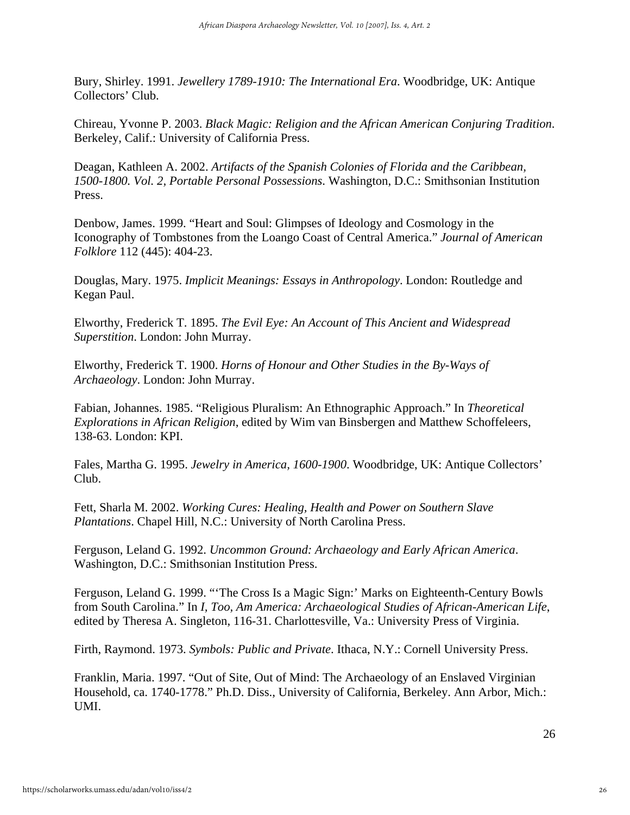Bury, Shirley. 1991. *Jewellery 1789-1910: The International Era*. Woodbridge, UK: Antique Collectors' Club.

Chireau, Yvonne P. 2003. *Black Magic: Religion and the African American Conjuring Tradition*. Berkeley, Calif.: University of California Press.

Deagan, Kathleen A. 2002. *Artifacts of the Spanish Colonies of Florida and the Caribbean, 1500-1800. Vol. 2, Portable Personal Possessions*. Washington, D.C.: Smithsonian Institution Press.

Denbow, James. 1999. "Heart and Soul: Glimpses of Ideology and Cosmology in the Iconography of Tombstones from the Loango Coast of Central America." *Journal of American Folklore* 112 (445): 404-23.

Douglas, Mary. 1975. *Implicit Meanings: Essays in Anthropology*. London: Routledge and Kegan Paul.

Elworthy, Frederick T. 1895. *The Evil Eye: An Account of This Ancient and Widespread Superstition*. London: John Murray.

Elworthy, Frederick T. 1900. *Horns of Honour and Other Studies in the By-Ways of Archaeology*. London: John Murray.

Fabian, Johannes. 1985. "Religious Pluralism: An Ethnographic Approach." In *Theoretical Explorations in African Religion*, edited by Wim van Binsbergen and Matthew Schoffeleers, 138-63. London: KPI.

Fales, Martha G. 1995. *Jewelry in America, 1600-1900*. Woodbridge, UK: Antique Collectors' Club.

Fett, Sharla M. 2002. *Working Cures: Healing, Health and Power on Southern Slave Plantations*. Chapel Hill, N.C.: University of North Carolina Press.

Ferguson, Leland G. 1992. *Uncommon Ground: Archaeology and Early African America*. Washington, D.C.: Smithsonian Institution Press.

Ferguson, Leland G. 1999. "'The Cross Is a Magic Sign:' Marks on Eighteenth-Century Bowls from South Carolina." In *I, Too, Am America: Archaeological Studies of African-American Life*, edited by Theresa A. Singleton, 116-31. Charlottesville, Va.: University Press of Virginia.

Firth, Raymond. 1973. *Symbols: Public and Private*. Ithaca, N.Y.: Cornell University Press.

Franklin, Maria. 1997. "Out of Site, Out of Mind: The Archaeology of an Enslaved Virginian Household, ca. 1740-1778." Ph.D. Diss., University of California, Berkeley. Ann Arbor, Mich.: UMI.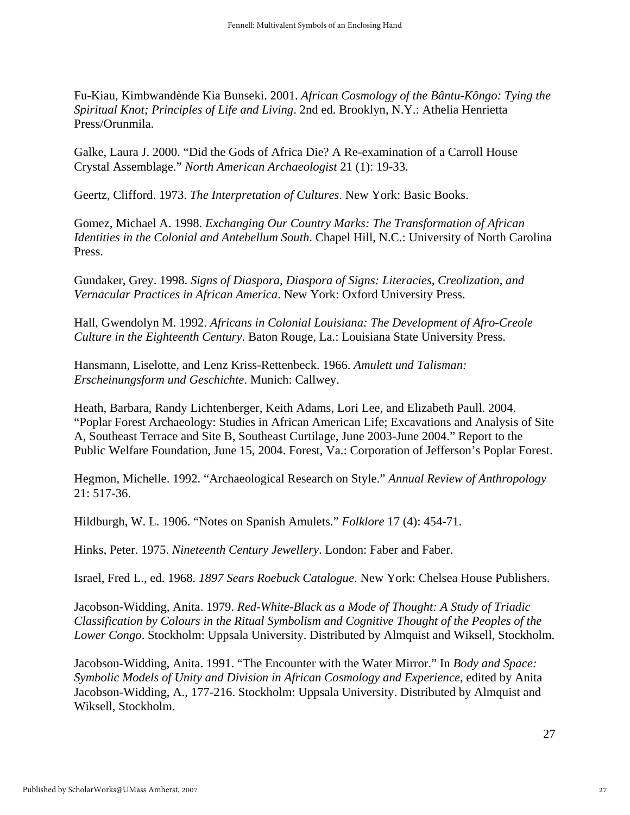Fu-Kiau, Kimbwandènde Kia Bunseki. 2001. *African Cosmology of the Bântu-Kôngo: Tying the Spiritual Knot; Principles of Life and Living*. 2nd ed. Brooklyn, N.Y.: Athelia Henrietta Press/Orunmila.

Galke, Laura J. 2000. "Did the Gods of Africa Die? A Re-examination of a Carroll House Crystal Assemblage." *North American Archaeologist* 21 (1): 19-33.

Geertz, Clifford. 1973. *The Interpretation of Cultures*. New York: Basic Books.

Gomez, Michael A. 1998. *Exchanging Our Country Marks: The Transformation of African Identities in the Colonial and Antebellum South*. Chapel Hill, N.C.: University of North Carolina Press.

Gundaker, Grey. 1998. *Signs of Diaspora, Diaspora of Signs: Literacies, Creolization, and Vernacular Practices in African America*. New York: Oxford University Press.

Hall, Gwendolyn M. 1992. *Africans in Colonial Louisiana: The Development of Afro-Creole Culture in the Eighteenth Century*. Baton Rouge, La.: Louisiana State University Press.

Hansmann, Liselotte, and Lenz Kriss-Rettenbeck. 1966. *Amulett und Talisman: Erscheinungsform und Geschichte*. Munich: Callwey.

Heath, Barbara, Randy Lichtenberger, Keith Adams, Lori Lee, and Elizabeth Paull. 2004. "Poplar Forest Archaeology: Studies in African American Life; Excavations and Analysis of Site A, Southeast Terrace and Site B, Southeast Curtilage, June 2003-June 2004." Report to the Public Welfare Foundation, June 15, 2004. Forest, Va.: Corporation of Jefferson's Poplar Forest.

Hegmon, Michelle. 1992. "Archaeological Research on Style." *Annual Review of Anthropology* 21: 517-36.

Hildburgh, W. L. 1906. "Notes on Spanish Amulets." *Folklore* 17 (4): 454-71.

Hinks, Peter. 1975. *Nineteenth Century Jewellery*. London: Faber and Faber.

Israel, Fred L., ed. 1968. *1897 Sears Roebuck Catalogue*. New York: Chelsea House Publishers.

Jacobson-Widding, Anita. 1979. *Red-White-Black as a Mode of Thought: A Study of Triadic Classification by Colours in the Ritual Symbolism and Cognitive Thought of the Peoples of the Lower Congo*. Stockholm: Uppsala University. Distributed by Almquist and Wiksell, Stockholm.

Jacobson-Widding, Anita. 1991. "The Encounter with the Water Mirror." In *Body and Space: Symbolic Models of Unity and Division in African Cosmology and Experience*, edited by Anita Jacobson-Widding, A., 177-216. Stockholm: Uppsala University. Distributed by Almquist and Wiksell, Stockholm.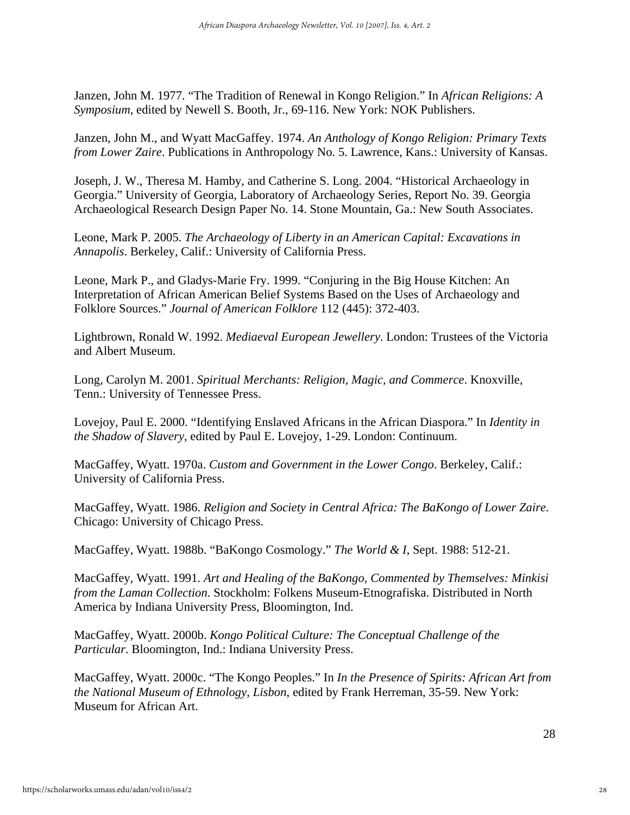Janzen, John M. 1977. "The Tradition of Renewal in Kongo Religion." In *African Religions: A Symposium*, edited by Newell S. Booth, Jr., 69-116. New York: NOK Publishers.

Janzen, John M., and Wyatt MacGaffey. 1974. *An Anthology of Kongo Religion: Primary Texts from Lower Zaire*. Publications in Anthropology No. 5. Lawrence, Kans.: University of Kansas.

Joseph, J. W., Theresa M. Hamby, and Catherine S. Long. 2004. "Historical Archaeology in Georgia." University of Georgia, Laboratory of Archaeology Series, Report No. 39. Georgia Archaeological Research Design Paper No. 14. Stone Mountain, Ga.: New South Associates.

Leone, Mark P. 2005. *The Archaeology of Liberty in an American Capital: Excavations in Annapolis*. Berkeley, Calif.: University of California Press.

Leone, Mark P., and Gladys-Marie Fry. 1999. "Conjuring in the Big House Kitchen: An Interpretation of African American Belief Systems Based on the Uses of Archaeology and Folklore Sources." *Journal of American Folklore* 112 (445): 372-403.

Lightbrown, Ronald W. 1992. *Mediaeval European Jewellery*. London: Trustees of the Victoria and Albert Museum.

Long, Carolyn M. 2001. *Spiritual Merchants: Religion, Magic, and Commerce*. Knoxville, Tenn.: University of Tennessee Press.

Lovejoy, Paul E. 2000. "Identifying Enslaved Africans in the African Diaspora." In *Identity in the Shadow of Slavery*, edited by Paul E. Lovejoy, 1-29. London: Continuum.

MacGaffey, Wyatt. 1970a. *Custom and Government in the Lower Congo*. Berkeley, Calif.: University of California Press.

MacGaffey, Wyatt. 1986. *Religion and Society in Central Africa: The BaKongo of Lower Zaire*. Chicago: University of Chicago Press.

MacGaffey, Wyatt. 1988b. "BaKongo Cosmology." *The World & I*, Sept. 1988: 512-21.

MacGaffey, Wyatt. 1991. *Art and Healing of the BaKongo, Commented by Themselves: Minkisi from the Laman Collection*. Stockholm: Folkens Museum-Etnografiska. Distributed in North America by Indiana University Press, Bloomington, Ind.

MacGaffey, Wyatt. 2000b. *Kongo Political Culture: The Conceptual Challenge of the Particular*. Bloomington, Ind.: Indiana University Press.

MacGaffey, Wyatt. 2000c. "The Kongo Peoples." In *In the Presence of Spirits: African Art from the National Museum of Ethnology, Lisbon*, edited by Frank Herreman, 35-59. New York: Museum for African Art.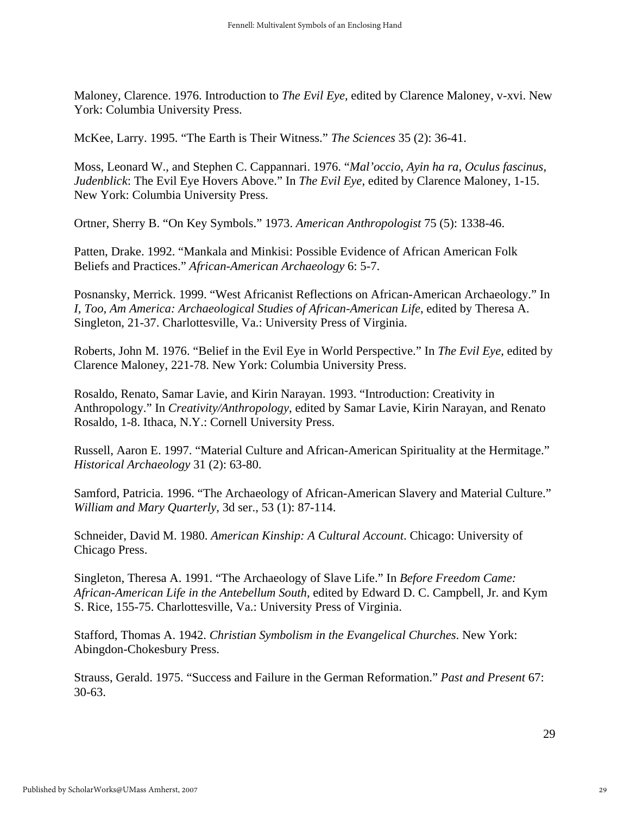Maloney, Clarence. 1976. Introduction to *The Evil Eye*, edited by Clarence Maloney, v-xvi. New York: Columbia University Press.

McKee, Larry. 1995. "The Earth is Their Witness." *The Sciences* 35 (2): 36-41.

Moss, Leonard W., and Stephen C. Cappannari. 1976. "*Mal'occio*, *Ayin ha ra*, *Oculus fascinus*, *Judenblick*: The Evil Eye Hovers Above." In *The Evil Eye*, edited by Clarence Maloney, 1-15. New York: Columbia University Press.

Ortner, Sherry B. "On Key Symbols." 1973. *American Anthropologist* 75 (5): 1338-46.

Patten, Drake. 1992. "Mankala and Minkisi: Possible Evidence of African American Folk Beliefs and Practices." *African-American Archaeology* 6: 5-7.

Posnansky, Merrick. 1999. "West Africanist Reflections on African-American Archaeology." In *I, Too, Am America: Archaeological Studies of African-American Life*, edited by Theresa A. Singleton, 21-37. Charlottesville, Va.: University Press of Virginia.

Roberts, John M. 1976. "Belief in the Evil Eye in World Perspective." In *The Evil Eye*, edited by Clarence Maloney, 221-78. New York: Columbia University Press.

Rosaldo, Renato, Samar Lavie, and Kirin Narayan. 1993. "Introduction: Creativity in Anthropology." In *Creativity/Anthropology*, edited by Samar Lavie, Kirin Narayan, and Renato Rosaldo, 1-8. Ithaca, N.Y.: Cornell University Press.

Russell, Aaron E. 1997. "Material Culture and African-American Spirituality at the Hermitage." *Historical Archaeology* 31 (2): 63-80.

Samford, Patricia. 1996. "The Archaeology of African-American Slavery and Material Culture." *William and Mary Quarterly*, 3d ser., 53 (1): 87-114.

Schneider, David M. 1980. *American Kinship: A Cultural Account*. Chicago: University of Chicago Press.

Singleton, Theresa A. 1991. "The Archaeology of Slave Life." In *Before Freedom Came: African-American Life in the Antebellum South*, edited by Edward D. C. Campbell, Jr. and Kym S. Rice, 155-75. Charlottesville, Va.: University Press of Virginia.

Stafford, Thomas A. 1942. *Christian Symbolism in the Evangelical Churches*. New York: Abingdon-Chokesbury Press.

Strauss, Gerald. 1975. "Success and Failure in the German Reformation." *Past and Present* 67: 30-63.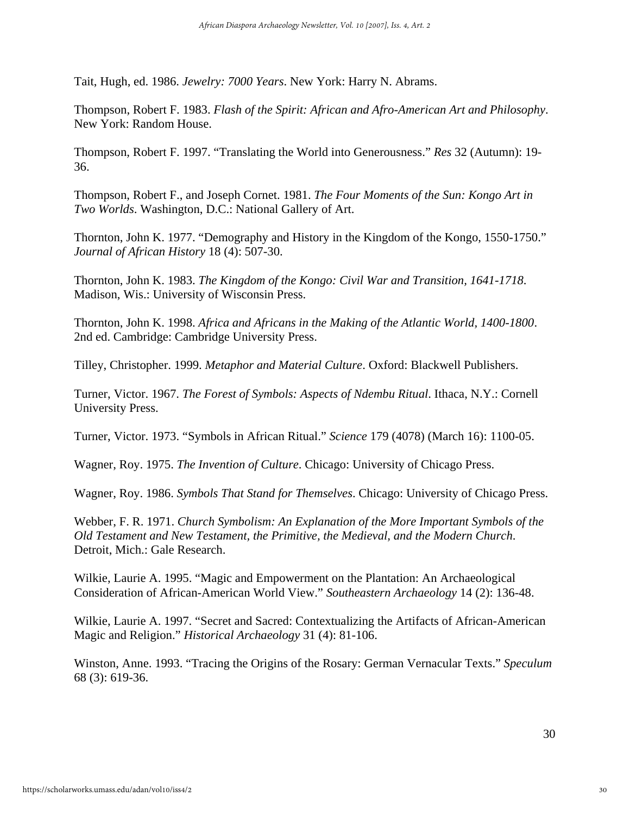Tait, Hugh, ed. 1986. *Jewelry: 7000 Years*. New York: Harry N. Abrams.

Thompson, Robert F. 1983. *Flash of the Spirit: African and Afro-American Art and Philosophy*. New York: Random House.

Thompson, Robert F. 1997. "Translating the World into Generousness." *Res* 32 (Autumn): 19- 36.

Thompson, Robert F., and Joseph Cornet. 1981. *The Four Moments of the Sun: Kongo Art in Two Worlds*. Washington, D.C.: National Gallery of Art.

Thornton, John K. 1977. "Demography and History in the Kingdom of the Kongo, 1550-1750." *Journal of African History* 18 (4): 507-30.

Thornton, John K. 1983. *The Kingdom of the Kongo: Civil War and Transition, 1641-1718*. Madison, Wis.: University of Wisconsin Press.

Thornton, John K. 1998. *Africa and Africans in the Making of the Atlantic World, 1400-1800*. 2nd ed. Cambridge: Cambridge University Press.

Tilley, Christopher. 1999. *Metaphor and Material Culture*. Oxford: Blackwell Publishers.

Turner, Victor. 1967. *The Forest of Symbols: Aspects of Ndembu Ritual*. Ithaca, N.Y.: Cornell University Press.

Turner, Victor. 1973. "Symbols in African Ritual." *Science* 179 (4078) (March 16): 1100-05.

Wagner, Roy. 1975. *The Invention of Culture*. Chicago: University of Chicago Press.

Wagner, Roy. 1986. *Symbols That Stand for Themselves*. Chicago: University of Chicago Press.

Webber, F. R. 1971. *Church Symbolism: An Explanation of the More Important Symbols of the Old Testament and New Testament, the Primitive, the Medieval, and the Modern Church*. Detroit, Mich.: Gale Research.

Wilkie, Laurie A. 1995. "Magic and Empowerment on the Plantation: An Archaeological Consideration of African-American World View." *Southeastern Archaeology* 14 (2): 136-48.

Wilkie, Laurie A. 1997. "Secret and Sacred: Contextualizing the Artifacts of African-American Magic and Religion." *Historical Archaeology* 31 (4): 81-106.

Winston, Anne. 1993. "Tracing the Origins of the Rosary: German Vernacular Texts." *Speculum* 68 (3): 619-36.